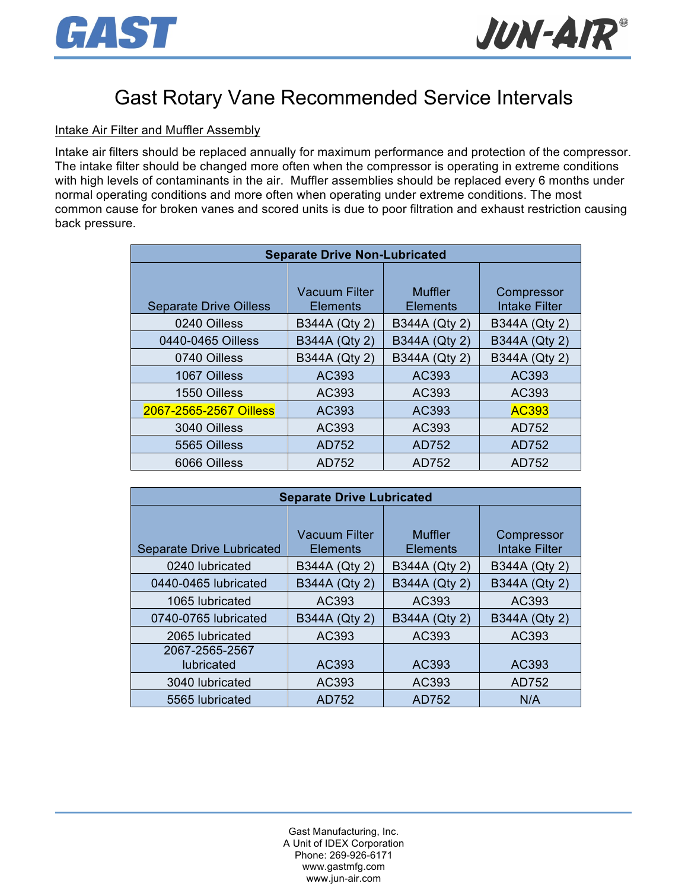



# Gast Rotary Vane Recommended Service Intervals

### Intake Air Filter and Muffler Assembly

Intake air filters should be replaced annually for maximum performance and protection of the compressor. The intake filter should be changed more often when the compressor is operating in extreme conditions with high levels of contaminants in the air. Muffler assemblies should be replaced every 6 months under normal operating conditions and more often when operating under extreme conditions. The most common cause for broken vanes and scored units is due to poor filtration and exhaust restriction causing back pressure.

| <b>Separate Drive Non-Lubricated</b> |                                         |                            |                                    |  |  |  |
|--------------------------------------|-----------------------------------------|----------------------------|------------------------------------|--|--|--|
| <b>Separate Drive Oilless</b>        | <b>Vacuum Filter</b><br><b>Elements</b> | Muffler<br><b>Elements</b> | Compressor<br><b>Intake Filter</b> |  |  |  |
| 0240 Oilless                         | <b>B344A (Qty 2)</b>                    | B344A (Qty 2)              | B344A (Qty 2)                      |  |  |  |
| 0440-0465 Oilless                    | B344A (Qty 2)                           | B344A (Qty 2)              | B344A (Qty 2)                      |  |  |  |
| 0740 Oilless                         | B344A (Qty 2)                           | B344A (Qty 2)              | B344A (Qty 2)                      |  |  |  |
| 1067 Oilless                         | AC393                                   | AC393                      | AC393                              |  |  |  |
| 1550 Oilless                         | AC393                                   | AC393                      | AC393                              |  |  |  |
| 2067-2565-2567 Oilless               | AC393                                   | AC393                      | <b>AC393</b>                       |  |  |  |
| 3040 Oilless                         | AC393                                   | AC393                      | AD752                              |  |  |  |
| 5565 Oilless                         | AD752                                   | AD752                      | AD752                              |  |  |  |
| 6066 Oilless                         | AD752                                   | AD752                      | AD752                              |  |  |  |

| <b>Separate Drive Lubricated</b> |                                         |                            |                                    |  |  |  |
|----------------------------------|-----------------------------------------|----------------------------|------------------------------------|--|--|--|
| <b>Separate Drive Lubricated</b> | <b>Vacuum Filter</b><br><b>Elements</b> | Muffler<br><b>Elements</b> | Compressor<br><b>Intake Filter</b> |  |  |  |
| 0240 lubricated                  | B344A (Qty 2)                           | B344A (Qty 2)              | B344A (Qty 2)                      |  |  |  |
| 0440-0465 lubricated             | B344A (Qty 2)                           | B344A (Qty 2)              | B344A (Qty 2)                      |  |  |  |
| 1065 lubricated                  | AC393                                   | AC393                      | AC393                              |  |  |  |
| 0740-0765 lubricated             | B344A (Qty 2)                           | <b>B344A (Qty 2)</b>       | B344A (Qty 2)                      |  |  |  |
| 2065 lubricated                  | AC393                                   | AC393                      | AC393                              |  |  |  |
| 2067-2565-2567                   |                                         |                            |                                    |  |  |  |
| lubricated                       | AC393                                   | AC393                      | AC393                              |  |  |  |
| 3040 lubricated                  | AC393                                   | AC393                      | AD752                              |  |  |  |
| 5565 lubricated                  | AD752                                   | AD752                      | N/A                                |  |  |  |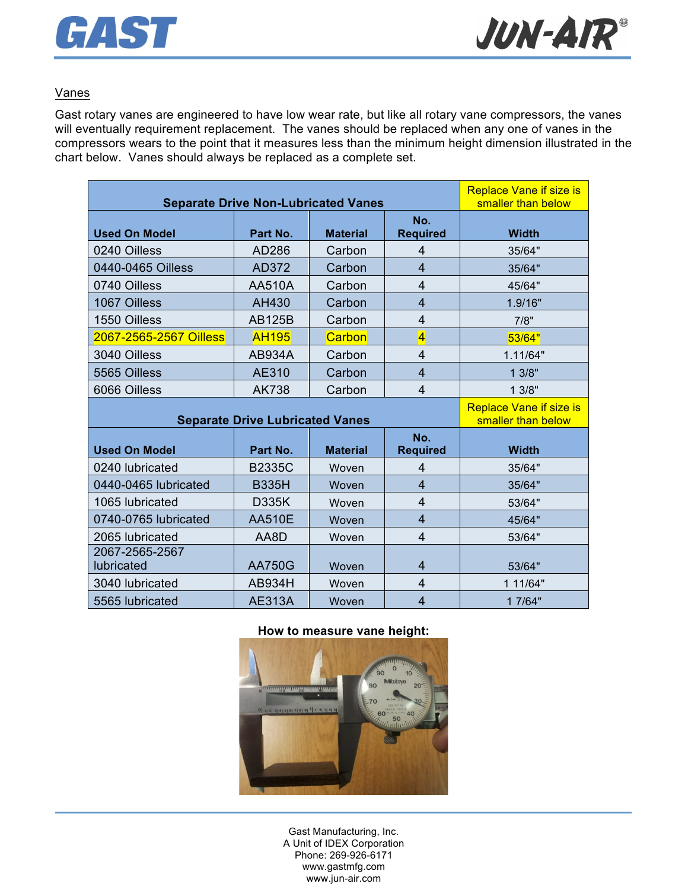



### Vanes

Gast rotary vanes are engineered to have low wear rate, but like all rotary vane compressors, the vanes will eventually requirement replacement. The vanes should be replaced when any one of vanes in the compressors wears to the point that it measures less than the minimum height dimension illustrated in the chart below. Vanes should always be replaced as a complete set.

| <b>Separate Drive Non-Lubricated Vanes</b> |                                        |                 |                         | <b>Replace Vane if size is</b><br>smaller than below |
|--------------------------------------------|----------------------------------------|-----------------|-------------------------|------------------------------------------------------|
| <b>Used On Model</b>                       | Part No.                               | <b>Material</b> | No.<br><b>Required</b>  | <b>Width</b>                                         |
| 0240 Oilless                               | AD286                                  | Carbon          | 4                       | 35/64"                                               |
| 0440-0465 Oilless                          | AD372                                  | Carbon          | 4                       | 35/64"                                               |
| 0740 Oilless                               | <b>AA510A</b>                          | Carbon          | $\overline{4}$          | 45/64"                                               |
| 1067 Oilless                               | AH430                                  | Carbon          | $\overline{4}$          | 1.9/16"                                              |
| 1550 Oilless                               | <b>AB125B</b>                          | Carbon          | 4                       | 7/8"                                                 |
| 2067-2565-2567 Oilless                     | <b>AH195</b>                           | Carbon          | $\overline{\mathbf{4}}$ | 53/64"                                               |
| 3040 Oilless                               | <b>AB934A</b>                          | Carbon          | $\overline{4}$          | 1.11/64"                                             |
| 5565 Oilless                               | AE310                                  | Carbon          | $\overline{\mathbf{4}}$ | 13/8"                                                |
| 6066 Oilless                               | <b>AK738</b>                           | Carbon          | $\overline{4}$          | 13/8"                                                |
|                                            |                                        |                 |                         |                                                      |
|                                            | <b>Separate Drive Lubricated Vanes</b> |                 |                         | <b>Replace Vane if size is</b><br>smaller than below |
| <b>Used On Model</b>                       | Part No.                               | <b>Material</b> | No.<br><b>Required</b>  | <b>Width</b>                                         |
| 0240 lubricated                            | <b>B2335C</b>                          | Woven           | 4                       | 35/64"                                               |
| 0440-0465 lubricated                       | <b>B335H</b>                           | Woven           | $\overline{4}$          | 35/64"                                               |
| 1065 lubricated                            | <b>D335K</b>                           | Woven           | $\overline{4}$          | 53/64"                                               |
| 0740-0765 lubricated                       | <b>AA510E</b>                          | Woven           | $\overline{4}$          | 45/64"                                               |
| 2065 lubricated                            | AA8D                                   | Woven           | $\overline{\mathbf{4}}$ | 53/64"                                               |
| 2067-2565-2567<br>lubricated               | <b>AA750G</b>                          | Woven           | $\overline{4}$          | 53/64"                                               |
| 3040 lubricated                            | <b>AB934H</b>                          | Woven           | $\overline{4}$          | 1 11/64"                                             |

#### **How to measure vane height:**



Gast Manufacturing, Inc. A Unit of IDEX Corporation Phone: 269-926-6171 www.gastmfg.com www.jun-air.com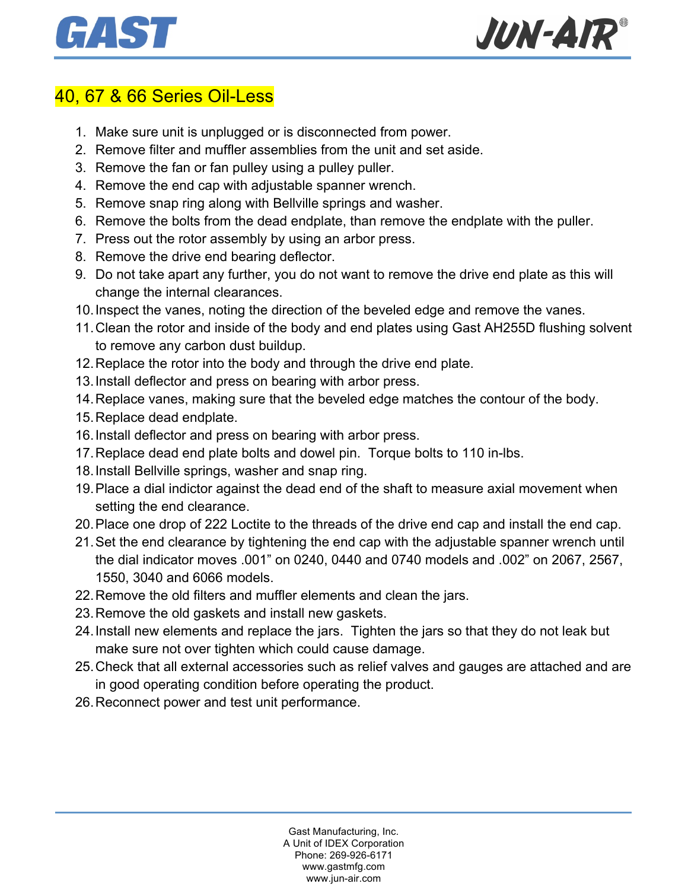



### 40, 67 & 66 Series Oil-Less

- 1. Make sure unit is unplugged or is disconnected from power.
- 2. Remove filter and muffler assemblies from the unit and set aside.
- 3. Remove the fan or fan pulley using a pulley puller.
- 4. Remove the end cap with adjustable spanner wrench.
- 5. Remove snap ring along with Bellville springs and washer.
- 6. Remove the bolts from the dead endplate, than remove the endplate with the puller.
- 7. Press out the rotor assembly by using an arbor press.
- 8. Remove the drive end bearing deflector.
- 9. Do not take apart any further, you do not want to remove the drive end plate as this will change the internal clearances.
- 10.Inspect the vanes, noting the direction of the beveled edge and remove the vanes.
- 11.Clean the rotor and inside of the body and end plates using Gast AH255D flushing solvent to remove any carbon dust buildup.
- 12.Replace the rotor into the body and through the drive end plate.
- 13.Install deflector and press on bearing with arbor press.
- 14.Replace vanes, making sure that the beveled edge matches the contour of the body.
- 15.Replace dead endplate.
- 16.Install deflector and press on bearing with arbor press.
- 17.Replace dead end plate bolts and dowel pin. Torque bolts to 110 in-lbs.
- 18.Install Bellville springs, washer and snap ring.
- 19.Place a dial indictor against the dead end of the shaft to measure axial movement when setting the end clearance.
- 20.Place one drop of 222 Loctite to the threads of the drive end cap and install the end cap.
- 21.Set the end clearance by tightening the end cap with the adjustable spanner wrench until the dial indicator moves .001" on 0240, 0440 and 0740 models and .002" on 2067, 2567, 1550, 3040 and 6066 models.
- 22.Remove the old filters and muffler elements and clean the jars.
- 23.Remove the old gaskets and install new gaskets.
- 24.Install new elements and replace the jars. Tighten the jars so that they do not leak but make sure not over tighten which could cause damage.
- 25.Check that all external accessories such as relief valves and gauges are attached and are in good operating condition before operating the product.
- 26.Reconnect power and test unit performance.

Gast Manufacturing, Inc. A Unit of IDEX Corporation Phone: 269-926-6171 www.gastmfg.com www.jun-air.com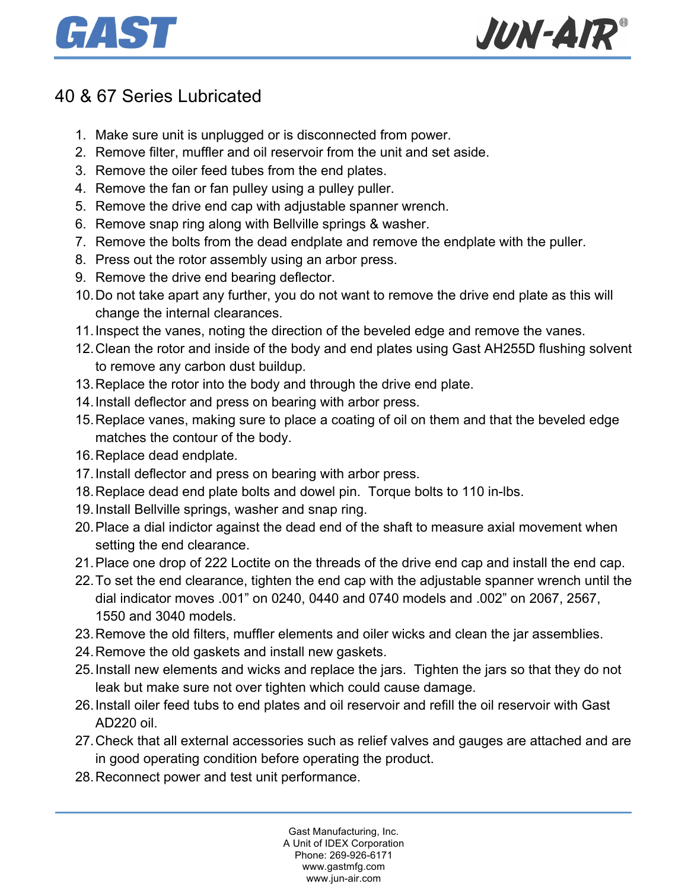



# 40 & 67 Series Lubricated

- 1. Make sure unit is unplugged or is disconnected from power.
- 2. Remove filter, muffler and oil reservoir from the unit and set aside.
- 3. Remove the oiler feed tubes from the end plates.
- 4. Remove the fan or fan pulley using a pulley puller.
- 5. Remove the drive end cap with adjustable spanner wrench.
- 6. Remove snap ring along with Bellville springs & washer.
- 7. Remove the bolts from the dead endplate and remove the endplate with the puller.
- 8. Press out the rotor assembly using an arbor press.
- 9. Remove the drive end bearing deflector.
- 10.Do not take apart any further, you do not want to remove the drive end plate as this will change the internal clearances.
- 11.Inspect the vanes, noting the direction of the beveled edge and remove the vanes.
- 12.Clean the rotor and inside of the body and end plates using Gast AH255D flushing solvent to remove any carbon dust buildup.
- 13.Replace the rotor into the body and through the drive end plate.
- 14.Install deflector and press on bearing with arbor press.
- 15.Replace vanes, making sure to place a coating of oil on them and that the beveled edge matches the contour of the body.
- 16.Replace dead endplate.
- 17.Install deflector and press on bearing with arbor press.
- 18.Replace dead end plate bolts and dowel pin. Torque bolts to 110 in-lbs.
- 19.Install Bellville springs, washer and snap ring.
- 20.Place a dial indictor against the dead end of the shaft to measure axial movement when setting the end clearance.
- 21.Place one drop of 222 Loctite on the threads of the drive end cap and install the end cap.
- 22.To set the end clearance, tighten the end cap with the adjustable spanner wrench until the dial indicator moves .001" on 0240, 0440 and 0740 models and .002" on 2067, 2567, 1550 and 3040 models.
- 23.Remove the old filters, muffler elements and oiler wicks and clean the jar assemblies.
- 24.Remove the old gaskets and install new gaskets.
- 25.Install new elements and wicks and replace the jars. Tighten the jars so that they do not leak but make sure not over tighten which could cause damage.
- 26.Install oiler feed tubs to end plates and oil reservoir and refill the oil reservoir with Gast AD220 oil.
- 27.Check that all external accessories such as relief valves and gauges are attached and are in good operating condition before operating the product.
- 28.Reconnect power and test unit performance.

Gast Manufacturing, Inc. A Unit of IDEX Corporation Phone: 269-926-6171 www.gastmfg.com www.jun-air.com